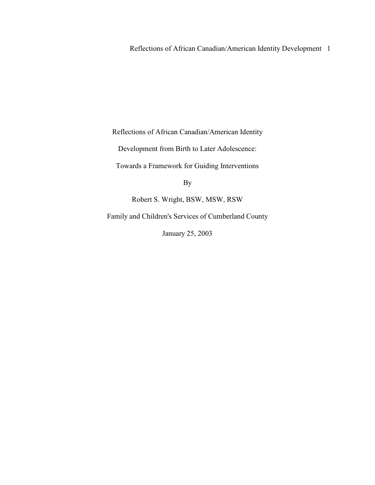Reflections of African Canadian/American Identity Development 1

Reflections of African Canadian/American Identity

Development from Birth to Later Adolescence:

Towards a Framework for Guiding Interventions

By

Robert S. Wright, BSW, MSW, RSW

Family and Children's Services of Cumberland County

January 25, 2003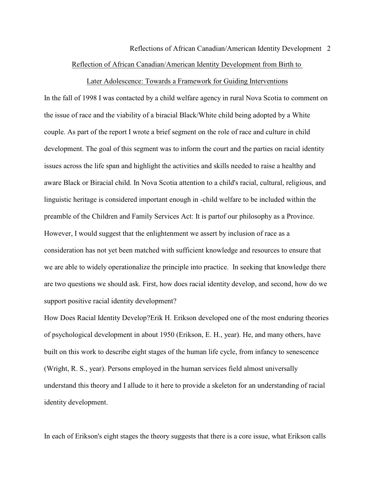# Reflections of African Canadian/American Identity Development 2 Reflection of African Canadian/American Identity Development from Birth to

#### Later Adolescence: Towards a Framework for Guiding Interventions

In the fall of 1998 I was contacted by a child welfare agency in rural Nova Scotia to comment on the issue of race and the viability of a biracial Black/White child being adopted by a White couple. As part of the report I wrote a brief segment on the role of race and culture in child development. The goal of this segment was to inform the court and the parties on racial identity issues across the life span and highlight the activities and skills needed to raise a healthy and aware Black or Biracial child. In Nova Scotia attention to a child's racial, cultural, religious, and linguistic heritage is considered important enough in -child welfare to be included within the preamble of the Children and Family Services Act: It is partof our philosophy as a Province. However, I would suggest that the enlightenment we assert by inclusion of race as a consideration has not yet been matched with sufficient knowledge and resources to ensure that we are able to widely operationalize the principle into practice. In seeking that knowledge there are two questions we should ask. First, how does racial identity develop, and second, how do we support positive racial identity development?

How Does Racial Identity Develop?Erik H. Erikson developed one of the most enduring theories of psychological development in about 1950 (Erikson, E. H., year). He, and many others, have built on this work to describe eight stages of the human life cycle, from infancy to senescence (Wright, R. S., year). Persons employed in the human services field almost universally understand this theory and I allude to it here to provide a skeleton for an understanding of racial identity development.

In each of Erikson's eight stages the theory suggests that there is a core issue, what Erikson calls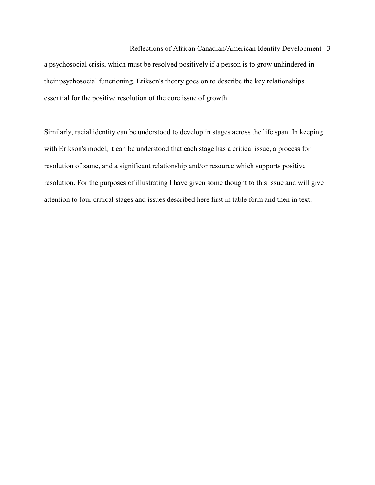### Reflections of African Canadian/American Identity Development 3

a psychosocial crisis, which must be resolved positively if a person is to grow unhindered in their psychosocial functioning. Erikson's theory goes on to describe the key relationships essential for the positive resolution of the core issue of growth.

Similarly, racial identity can be understood to develop in stages across the life span. In keeping with Erikson's model, it can be understood that each stage has a critical issue, a process for resolution of same, and a significant relationship and/or resource which supports positive resolution. For the purposes of illustrating I have given some thought to this issue and will give attention to four critical stages and issues described here first in table form and then in text.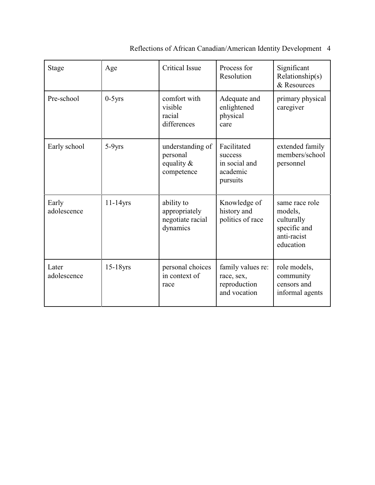| Stage                | Age         | <b>Critical Issue</b>                                       | Process for<br>Resolution                                       | Significant<br>Relationship(s)<br>& Resources                                       |
|----------------------|-------------|-------------------------------------------------------------|-----------------------------------------------------------------|-------------------------------------------------------------------------------------|
| Pre-school           | $0-5$ yrs   | comfort with<br>visible<br>racial<br>differences            | Adequate and<br>enlightened<br>physical<br>care                 | primary physical<br>caregiver                                                       |
| Early school         | $5-9yrs$    | understanding of<br>personal<br>equality $\&$<br>competence | Facilitated<br>success<br>in social and<br>academic<br>pursuits | extended family<br>members/school<br>personnel                                      |
| Early<br>adolescence | $11-14$ yrs | ability to<br>appropriately<br>negotiate racial<br>dynamics | Knowledge of<br>history and<br>politics of race                 | same race role<br>models,<br>culturally<br>specific and<br>anti-racist<br>education |
| Later<br>adolescence | $15-18$ yrs | personal choices<br>in context of<br>race                   | family values re:<br>race, sex,<br>reproduction<br>and vocation | role models,<br>community<br>censors and<br>informal agents                         |

Reflections of African Canadian/American Identity Development 4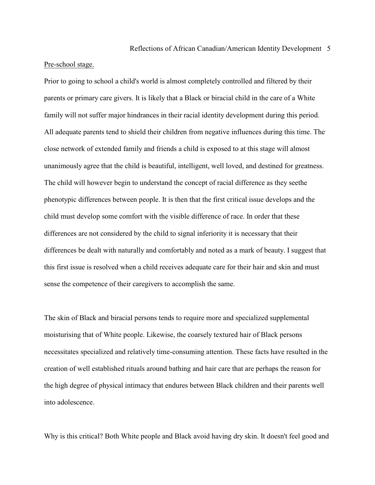### Pre-school stage.

Prior to going to school a child's world is almost completely controlled and filtered by their parents or primary care givers. It is likely that a Black or biracial child in the care of a White family will not suffer major hindrances in their racial identity development during this period. All adequate parents tend to shield their children from negative influences during this time. The close network of extended family and friends a child is exposed to at this stage will almost unanimously agree that the child is beautiful, intelligent, well loved, and destined for greatness. The child will however begin to understand the concept of racial difference as they seethe phenotypic differences between people. It is then that the first critical issue develops and the child must develop some comfort with the visible difference of race. In order that these differences are not considered by the child to signal inferiority it is necessary that their differences be dealt with naturally and comfortably and noted as a mark of beauty. I suggest that this first issue is resolved when a child receives adequate care for their hair and skin and must sense the competence of their caregivers to accomplish the same.

The skin of Black and biracial persons tends to require more and specialized supplemental moisturising that of White people. Likewise, the coarsely textured hair of Black persons necessitates specialized and relatively time-consuming attention. These facts have resulted in the creation of well established rituals around bathing and hair care that are perhaps the reason for the high degree of physical intimacy that endures between Black children and their parents well into adolescence.

Why is this critical? Both White people and Black avoid having dry skin. It doesn't feel good and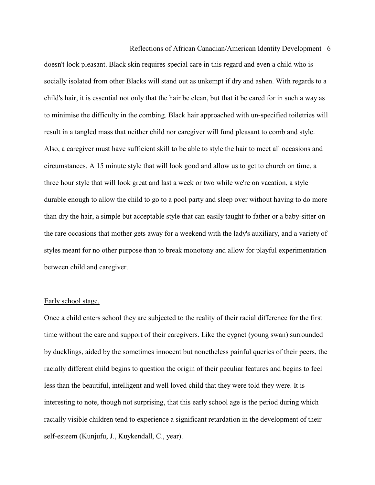Reflections of African Canadian/American Identity Development 6 doesn't look pleasant. Black skin requires special care in this regard and even a child who is socially isolated from other Blacks will stand out as unkempt if dry and ashen. With regards to a child's hair, it is essential not only that the hair be clean, but that it be cared for in such a way as to minimise the difficulty in the combing. Black hair approached with un-specified toiletries will result in a tangled mass that neither child nor caregiver will fund pleasant to comb and style. Also, a caregiver must have sufficient skill to be able to style the hair to meet all occasions and circumstances. A 15 minute style that will look good and allow us to get to church on time, a three hour style that will look great and last a week or two while we're on vacation, a style durable enough to allow the child to go to a pool party and sleep over without having to do more than dry the hair, a simple but acceptable style that can easily taught to father or a baby-sitter on the rare occasions that mother gets away for a weekend with the lady's auxiliary, and a variety of styles meant for no other purpose than to break monotony and allow for playful experimentation between child and caregiver.

### Early school stage.

Once a child enters school they are subjected to the reality of their racial difference for the first time without the care and support of their caregivers. Like the cygnet (young swan) surrounded by ducklings, aided by the sometimes innocent but nonetheless painful queries of their peers, the racially different child begins to question the origin of their peculiar features and begins to feel less than the beautiful, intelligent and well loved child that they were told they were. It is interesting to note, though not surprising, that this early school age is the period during which racially visible children tend to experience a significant retardation in the development of their self-esteem (Kunjufu, J., Kuykendall, C., year).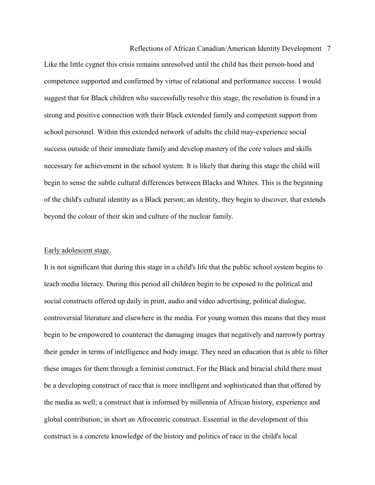Reflections of African Canadian/American Identity Development 7 Like the little cygnet this crisis remains unresolved until the child has their person-hood and competence supported and confirmed by virtue of relational and performance success. I would suggest that for Black children who successfully resolve this stage, the resolution is found in a strong and positive connection with their Black extended family and competent support from school personnel. Within this extended network of adults the child may-experience social success outside of their immediate family and develop mastery of the core values and skills necessary for achievement in the school system. It is likely that during this stage the child will begin to sense the subtle cultural differences between Blacks and Whites. This is the beginning of the child's cultural identity as a Black person; an identity, they begin to discover, that extends beyond the colour of their skin and culture of the nuclear family.

#### Early adolescent stage.

It is not significant that during this stage in a child's life that the public school system begins to teach media literacy. During this period all children begin to be exposed to the political and social constructs offered up daily in print, audio and video advertising, political dialogue, controversial literature and elsewhere in the media. For young women this means that they must begin to be empowered to counteract the damaging images that negatively and narrowly portray their gender in terms of intelligence and body image. They need an education that is able to filter these images for them through a feminist construct. For the Black and biracial child there must be a developing construct of race that is more intelligent and sophisticated than that offered by the media as well; a construct that is informed by millennia of African history, experience and global contribution; in short an Afrocentric construct. Essential in the development of this construct is a concrete knowledge of the history and politics of race in the child's local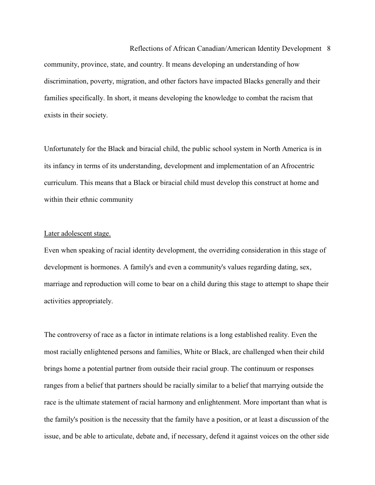Reflections of African Canadian/American Identity Development 8 community, province, state, and country. It means developing an understanding of how discrimination, poverty, migration, and other factors have impacted Blacks generally and their families specifically. In short, it means developing the knowledge to combat the racism that exists in their society.

Unfortunately for the Black and biracial child, the public school system in North America is in its infancy in terms of its understanding, development and implementation of an Afrocentric curriculum. This means that a Black or biracial child must develop this construct at home and within their ethnic community

#### Later adolescent stage.

Even when speaking of racial identity development, the overriding consideration in this stage of development is hormones. A family's and even a community's values regarding dating, sex, marriage and reproduction will come to bear on a child during this stage to attempt to shape their activities appropriately.

The controversy of race as a factor in intimate relations is a long established reality. Even the most racially enlightened persons and families, White or Black, are challenged when their child brings home a potential partner from outside their racial group. The continuum or responses ranges from a belief that partners should be racially similar to a belief that marrying outside the race is the ultimate statement of racial harmony and enlightenment. More important than what is the family's position is the necessity that the family have a position, or at least a discussion of the issue, and be able to articulate, debate and, if necessary, defend it against voices on the other side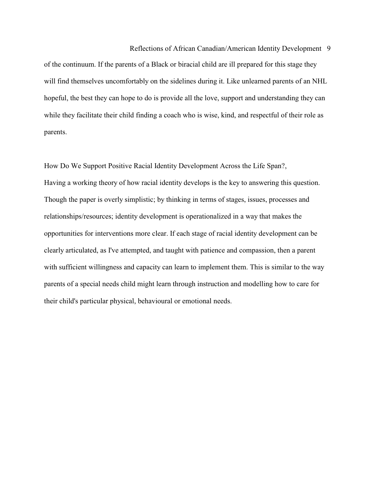Reflections of African Canadian/American Identity Development 9 of the continuum. If the parents of a Black or biracial child are ill prepared for this stage they will find themselves uncomfortably on the sidelines during it. Like unlearned parents of an NHL hopeful, the best they can hope to do is provide all the love, support and understanding they can while they facilitate their child finding a coach who is wise, kind, and respectful of their role as parents.

How Do We Support Positive Racial Identity Development Across the Life Span?, Having a working theory of how racial identity develops is the key to answering this question. Though the paper is overly simplistic; by thinking in terms of stages, issues, processes and relationships/resources; identity development is operationalized in a way that makes the opportunities for interventions more clear. If each stage of racial identity development can be clearly articulated, as I've attempted, and taught with patience and compassion, then a parent with sufficient willingness and capacity can learn to implement them. This is similar to the way parents of a special needs child might learn through instruction and modelling how to care for their child's particular physical, behavioural or emotional needs.